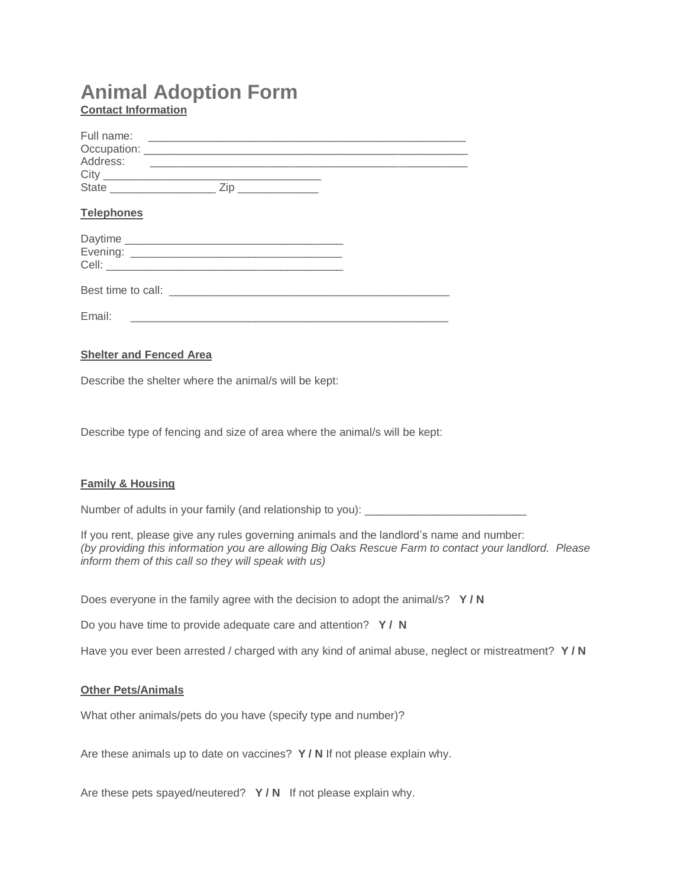# **Animal Adoption Form Contact Information**

| Full name:<br>Address: | <u> 1989 - Johann Stein, mars an deutscher Stein und der Stein und der Stein und der Stein und der Stein und der</u> |  |
|------------------------|----------------------------------------------------------------------------------------------------------------------|--|
| <b>Telephones</b>      |                                                                                                                      |  |
|                        |                                                                                                                      |  |
|                        |                                                                                                                      |  |
| Email:                 |                                                                                                                      |  |

## **Shelter and Fenced Area**

Describe the shelter where the animal/s will be kept:

Describe type of fencing and size of area where the animal/s will be kept:

## **Family & Housing**

Number of adults in your family (and relationship to you): \_\_\_\_\_\_\_\_\_\_\_\_\_\_\_\_\_\_\_\_\_

If you rent, please give any rules governing animals and the landlord's name and number: *(by providing this information you are allowing Big Oaks Rescue Farm to contact your landlord. Please inform them of this call so they will speak with us)*

Does everyone in the family agree with the decision to adopt the animal/s? **Y / N**

Do you have time to provide adequate care and attention? **Y / N**

Have you ever been arrested / charged with any kind of animal abuse, neglect or mistreatment? **Y / N**

#### **Other Pets/Animals**

What other animals/pets do you have (specify type and number)?

Are these animals up to date on vaccines? **Y / N** If not please explain why.

Are these pets spayed/neutered? **Y / N** If not please explain why.